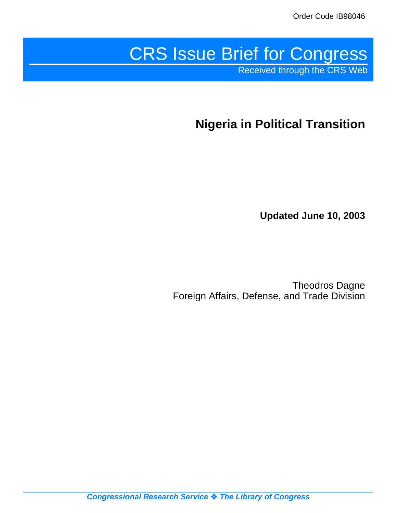# CRS Issue Brief for Congress Received through the CRS Web

**Nigeria in Political Transition**

**Updated June 10, 2003**

Theodros Dagne Foreign Affairs, Defense, and Trade Division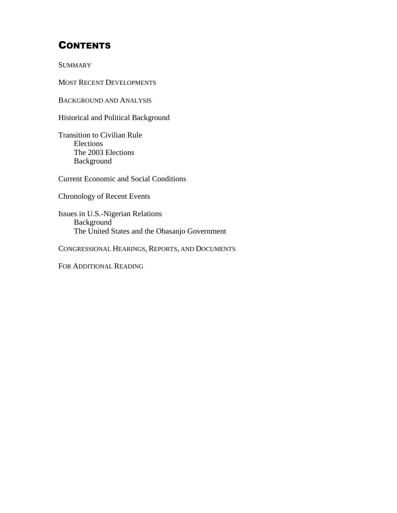# **CONTENTS**

**SUMMARY** 

MOST RECENT DEVELOPMENTS

BACKGROUND AND ANALYSIS

Historical and Political Background

Transition to Civilian Rule Elections The 2003 Elections Background

Current Economic and Social Conditions

Chronology of Recent Events

Issues in U.S.-Nigerian Relations Background The United States and the Obasanjo Government

CONGRESSIONAL HEARINGS, REPORTS, AND DOCUMENTS

FOR ADDITIONAL READING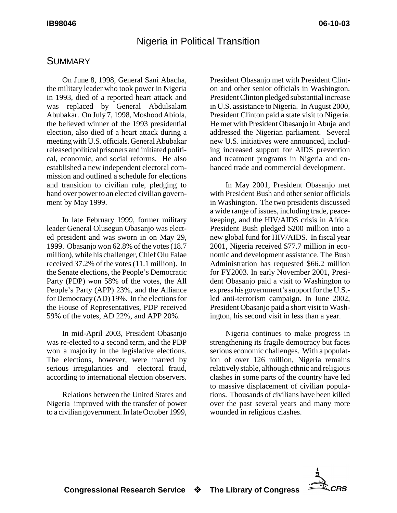## Nigeria in Political Transition

### **SUMMARY**

On June 8, 1998, General Sani Abacha, the military leader who took power in Nigeria in 1993, died of a reported heart attack and was replaced by General Abdulsalam Abubakar. On July 7, 1998, Moshood Abiola, the believed winner of the 1993 presidential election, also died of a heart attack during a meeting with U.S. officials. General Abubakar released political prisoners and initiated political, economic, and social reforms. He also established a new independent electoral commission and outlined a schedule for elections and transition to civilian rule, pledging to hand over power to an elected civilian government by May 1999.

In late February 1999, former military leader General Olusegun Obasanjo was elected president and was sworn in on May 29, 1999. Obasanjo won 62.8% of the votes (18.7 million), while his challenger, Chief Olu Falae received 37.2% of the votes (11.1 million). In the Senate elections, the People's Democratic Party (PDP) won 58% of the votes, the All People's Party (APP) 23%, and the Alliance for Democracy (AD) 19%. In the elections for the House of Representatives, PDP received 59% of the votes, AD 22%, and APP 20%.

In mid-April 2003, President Obasanjo was re-elected to a second term, and the PDP won a majority in the legislative elections. The elections, however, were marred by serious irregularities and electoral fraud, according to international election observers.

Relations between the United States and Nigeria improved with the transfer of power to a civilian government. In late October 1999, President Obasanjo met with President Clinton and other senior officials in Washington. President Clinton pledged substantial increase in U.S. assistance to Nigeria. In August 2000, President Clinton paid a state visit to Nigeria. He met with President Obasanjo in Abuja and addressed the Nigerian parliament. Several new U.S. initiatives were announced, including increased support for AIDS prevention and treatment programs in Nigeria and enhanced trade and commercial development.

In May 2001, President Obasanjo met with President Bush and other senior officials in Washington. The two presidents discussed a wide range of issues, including trade, peacekeeping, and the HIV/AIDS crisis in Africa. President Bush pledged \$200 million into a new global fund for HIV/AIDS. In fiscal year 2001, Nigeria received \$77.7 million in economic and development assistance. The Bush Administration has requested \$66.2 million for FY2003. In early November 2001, President Obasanjo paid a visit to Washington to express his government's support for the U.S. led anti-terrorism campaign. In June 2002, President Obasanjo paid a short visit to Washington, his second visit in less than a year.

Nigeria continues to make progress in strengthening its fragile democracy but faces serious economic challenges. With a population of over 126 million, Nigeria remains relatively stable, although ethnic and religious clashes in some parts of the country have led to massive displacement of civilian populations. Thousands of civilians have been killed over the past several years and many more wounded in religious clashes.

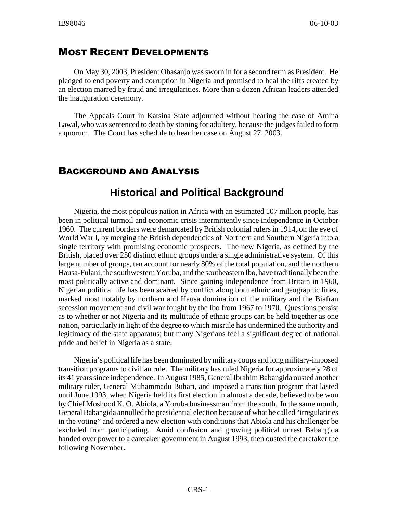### MOST RECENT DEVELOPMENTS

On May 30, 2003, President Obasanjo was sworn in for a second term as President. He pledged to end poverty and corruption in Nigeria and promised to heal the rifts created by an election marred by fraud and irregularities. More than a dozen African leaders attended the inauguration ceremony.

The Appeals Court in Katsina State adjourned without hearing the case of Amina Lawal, who was sentenced to death by stoning for adultery, because the judges failed to form a quorum. The Court has schedule to hear her case on August 27, 2003.

# BACKGROUND AND ANALYSIS

# **Historical and Political Background**

Nigeria, the most populous nation in Africa with an estimated 107 million people, has been in political turmoil and economic crisis intermittently since independence in October 1960. The current borders were demarcated byBritish colonial rulers in 1914, on the eve of World War I, by merging the British dependencies of Northern and Southern Nigeria into a single territory with promising economic prospects. The new Nigeria, as defined by the British, placed over 250 distinct ethnic groups under a single administrative system. Of this large number of groups, ten account for nearly 80% of the total population, and the northern Hausa-Fulani, the southwestern Yoruba, and the southeastern Ibo, have traditionallybeen the most politically active and dominant. Since gaining independence from Britain in 1960, Nigerian political life has been scarred by conflict along both ethnic and geographic lines, marked most notably by northern and Hausa domination of the military and the Biafran secession movement and civil war fought by the Ibo from 1967 to 1970. Questions persist as to whether or not Nigeria and its multitude of ethnic groups can be held together as one nation, particularly in light of the degree to which misrule has undermined the authority and legitimacy of the state apparatus; but many Nigerians feel a significant degree of national pride and belief in Nigeria as a state.

Nigeria's political life has been dominated by military coups and long military-imposed transition programs to civilian rule. The military has ruled Nigeria for approximately 28 of its 41 years since independence. In August 1985, General Ibrahim Babangida ousted another military ruler, General Muhammadu Buhari, and imposed a transition program that lasted until June 1993, when Nigeria held its first election in almost a decade, believed to be won by Chief Moshood K. O. Abiola, a Yoruba businessman from the south. In the same month, General Babangida annulled the presidential election because of what he called "irregularities in the voting" and ordered a new election with conditions that Abiola and his challenger be excluded from participating. Amid confusion and growing political unrest Babangida handed over power to a caretaker government in August 1993, then ousted the caretaker the following November.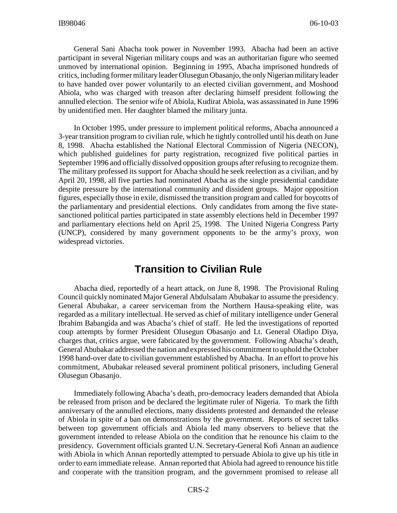General Sani Abacha took power in November 1993. Abacha had been an active participant in several Nigerian military coups and was an authoritarian figure who seemed unmoved by international opinion. Beginning in 1995, Abacha imprisoned hundreds of critics, including former militaryleader Olusegun Obasanjo, the onlyNigerian militaryleader to have handed over power voluntarily to an elected civilian government, and Moshood Abiola, who was charged with treason after declaring himself president following the annulled election. The senior wife of Abiola, Kudirat Abiola, was assassinated in June 1996 by unidentified men. Her daughter blamed the military junta.

In October 1995, under pressure to implement political reforms, Abacha announced a 3-year transition program to civilian rule, which he tightly controlled until his death on June 8, 1998. Abacha established the National Electoral Commission of Nigeria (NECON), which published guidelines for party registration, recognized five political parties in September 1996 and officially dissolved opposition groups after refusing to recognize them. The military professed its support for Abacha should he seek reelection as a civilian, and by April 20, 1998, all five parties had nominated Abacha as the single presidential candidate despite pressure by the international community and dissident groups. Major opposition figures, especially those in exile, dismissed the transition program and called for boycotts of the parliamentary and presidential elections. Only candidates from among the five statesanctioned political parties participated in state assembly elections held in December 1997 and parliamentary elections held on April 25, 1998. The United Nigeria Congress Party (UNCP), considered by many government opponents to be the army's proxy, won widespread victories.

# **Transition to Civilian Rule**

Abacha died, reportedly of a heart attack, on June 8, 1998. The Provisional Ruling Council quickly nominated Major General Abdulsalam Abubakar to assume the presidency. General Abubakar, a career serviceman from the Northern Hausa-speaking elite, was regarded as a military intellectual. He served as chief of military intelligence under General Ibrahim Babangida and was Abacha's chief of staff. He led the investigations of reported coup attempts by former President Olusegun Obasanjo and Lt. General Oladipo Diya, charges that, critics argue, were fabricated by the government. Following Abacha's death, General Abubakar addressed the nation and expressed his commitment to uphold the October 1998 hand-over date to civilian government established by Abacha. In an effort to prove his commitment, Abubakar released several prominent political prisoners, including General Olusegun Obasanjo.

Immediately following Abacha's death, pro-democracy leaders demanded that Abiola be released from prison and be declared the legitimate ruler of Nigeria. To mark the fifth anniversary of the annulled elections, many dissidents protested and demanded the release of Abiola in spite of a ban on demonstrations by the government. Reports of secret talks between top government officials and Abiola led many observers to believe that the government intended to release Abiola on the condition that he renounce his claim to the presidency. Government officials granted U.N. Secretary-General Kofi Annan an audience with Abiola in which Annan reportedly attempted to persuade Abiola to give up his title in order to earn immediate release. Annan reported that Abiola had agreed to renounce his title and cooperate with the transition program, and the government promised to release all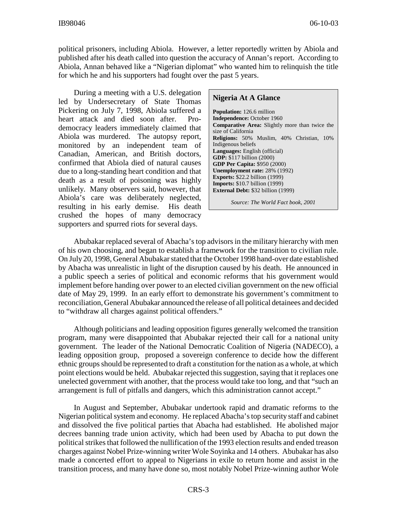political prisoners, including Abiola. However, a letter reportedly written by Abiola and published after his death called into question the accuracy of Annan's report. According to Abiola, Annan behaved like a "Nigerian diplomat" who wanted him to relinquish the title for which he and his supporters had fought over the past 5 years.

During a meeting with a U.S. delegation led by Undersecretary of State Thomas Pickering on July 7, 1998, Abiola suffered a heart attack and died soon after. Prodemocracy leaders immediately claimed that Abiola was murdered. The autopsy report, monitored by an independent team of Canadian, American, and British doctors, confirmed that Abiola died of natural causes due to a long-standing heart condition and that death as a result of poisoning was highly unlikely. Many observers said, however, that Abiola's care was deliberately neglected, resulting in his early demise. His death crushed the hopes of many democracy supporters and spurred riots for several days.



Abubakar replaced several of Abacha's top advisors in the military hierarchy with men of his own choosing, and began to establish a framework for the transition to civilian rule. On July 20, 1998, General Abubakar stated that the October 1998 hand-over date established by Abacha was unrealistic in light of the disruption caused by his death. He announced in a public speech a series of political and economic reforms that his government would implement before handing over power to an elected civilian government on the new official date of May 29, 1999. In an early effort to demonstrate his government's commitment to reconciliation, General Abubakar announced the release of all political detainees and decided to "withdraw all charges against political offenders."

Although politicians and leading opposition figures generally welcomed the transition program, many were disappointed that Abubakar rejected their call for a national unity government. The leader of the National Democratic Coalition of Nigeria (NADECO), a leading opposition group, proposed a sovereign conference to decide how the different ethnic groups should be represented to draft a constitution for the nation as a whole, at which point elections would be held. Abubakar rejected this suggestion, saying that it replaces one unelected government with another, that the process would take too long, and that "such an arrangement is full of pitfalls and dangers, which this administration cannot accept."

In August and September, Abubakar undertook rapid and dramatic reforms to the Nigerian political system and economy. He replaced Abacha's top security staff and cabinet and dissolved the five political parties that Abacha had established. He abolished major decrees banning trade union activity, which had been used by Abacha to put down the political strikes that followed the nullification of the 1993 election results and ended treason charges against Nobel Prize-winning writer Wole Soyinka and 14 others. Abubakar has also made a concerted effort to appeal to Nigerians in exile to return home and assist in the transition process, and many have done so, most notably Nobel Prize-winning author Wole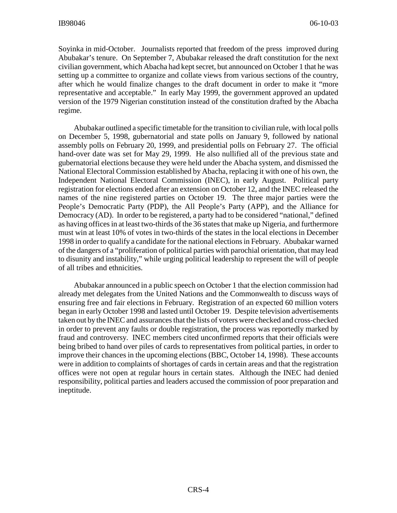Soyinka in mid-October. Journalists reported that freedom of the press improved during Abubakar's tenure. On September 7, Abubakar released the draft constitution for the next civilian government, which Abacha had kept secret, but announced on October 1 that he was setting up a committee to organize and collate views from various sections of the country, after which he would finalize changes to the draft document in order to make it "more representative and acceptable." In early May 1999, the government approved an updated version of the 1979 Nigerian constitution instead of the constitution drafted by the Abacha regime.

Abubakar outlined a specific timetable for the transition to civilian rule, with local polls on December 5, 1998, gubernatorial and state polls on January 9, followed by national assembly polls on February 20, 1999, and presidential polls on February 27. The official hand-over date was set for May 29, 1999. He also nullified all of the previous state and gubernatorial elections because they were held under the Abacha system, and dismissed the National Electoral Commission established by Abacha, replacing it with one of his own, the Independent National Electoral Commission (INEC), in early August. Political party registration for elections ended after an extension on October 12, and the INEC released the names of the nine registered parties on October 19. The three major parties were the People's Democratic Party (PDP), the All People's Party (APP), and the Alliance for Democracy (AD). In order to be registered, a party had to be considered "national," defined as having offices in at least two-thirds of the 36 states that make up Nigeria, and furthermore must win at least 10% of votes in two-thirds of the states in the local elections in December 1998 in order to qualify a candidate for the national electionsin February. Abubakar warned of the dangers of a "proliferation of political parties with parochial orientation, that may lead to disunity and instability," while urging political leadership to represent the will of people of all tribes and ethnicities.

Abubakar announced in a public speech on October 1 that the election commission had already met delegates from the United Nations and the Commonwealth to discuss ways of ensuring free and fair elections in February. Registration of an expected 60 million voters began in early October 1998 and lasted until October 19. Despite television advertisements taken out by the INEC and assurances that the lists of voters were checked and cross-checked in order to prevent any faults or double registration, the process was reportedly marked by fraud and controversy. INEC members cited unconfirmed reports that their officials were being bribed to hand over piles of cards to representatives from political parties, in order to improve their chances in the upcoming elections (BBC, October 14, 1998). These accounts were in addition to complaints of shortages of cards in certain areas and that the registration offices were not open at regular hours in certain states. Although the INEC had denied responsibility, political parties and leaders accused the commission of poor preparation and ineptitude.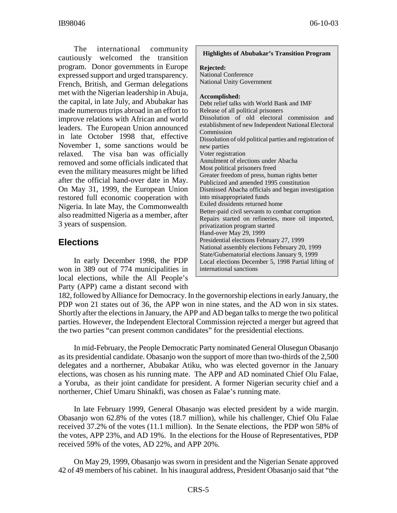The international community cautiously welcomed the transition program. Donor governments in Europe expressed support and urged transparency. French, British, and German delegations met with the Nigerian leadership in Abuja, the capital, in late July, and Abubakar has made numerous trips abroad in an effort to improve relations with African and world leaders. The European Union announced in late October 1998 that, effective November 1, some sanctions would be relaxed. The visa ban was officially removed and some officials indicated that even the military measures might be lifted after the official hand-over date in May. On May 31, 1999, the European Union restored full economic cooperation with Nigeria. In late May, the Commonwealth also readmitted Nigeria as a member, after 3 years of suspension.

### **Elections**

In early December 1998, the PDP won in 389 out of 774 municipalities in local elections, while the All People's Party (APP) came a distant second with **Highlights of Abubakar's Transition Program**

#### **Rejected:**

National Conference National Unity Government

#### **Accomplished:**

Debt relief talks with World Bank and IMF Release of all political prisoners Dissolution of old electoral commission and establishment of new Independent National Electoral Commission Dissolution of old political parties and registration of new parties Voter registration Annulment of elections under Abacha Most political prisoners freed Greater freedom of press, human rights better Publicized and amended 1995 constitution Dismissed Abacha officials and began investigation into misappropriated funds Exiled dissidents returned home Better-paid civil servants to combat corruption Repairs started on refineries, more oil imported, privatization program started Hand-over May 29, 1999 Presidential elections February 27, 1999 National assembly elections February 20, 1999 State/Gubernatorial elections January 9, 1999 Local elections December 5, 1998 Partial lifting of international sanctions

182, followed by Alliance for Democracy. In the governorship elections in early January, the PDP won 21 states out of 36, the APP won in nine states, and the AD won in six states. Shortly after the elections in January, the APP and AD began talks to merge the two political parties. However, the Independent Electoral Commission rejected a merger but agreed that the two parties "can present common candidates" for the presidential elections.

In mid-February, the People Democratic Party nominated General Olusegun Obasanjo as its presidential candidate. Obasanjo won the support of more than two-thirds of the 2,500 delegates and a northerner, Abubakar Atiku, who was elected governor in the January elections, was chosen as his running mate. The APP and AD nominated Chief Olu Falae, a Yoruba, as their joint candidate for president. A former Nigerian security chief and a northerner, Chief Umaru Shinakfi, was chosen as Falae's running mate.

In late February 1999, General Obasanjo was elected president by a wide margin. Obasanjo won 62.8% of the votes (18.7 million), while his challenger, Chief Olu Falae received 37.2% of the votes (11.1 million). In the Senate elections, the PDP won 58% of the votes, APP 23%, and AD 19%. In the elections for the House of Representatives, PDP received 59% of the votes, AD 22%, and APP 20%.

On May 29, 1999, Obasanjo was sworn in president and the Nigerian Senate approved 42 of 49 members of his cabinet. In his inaugural address, President Obasanjo said that "the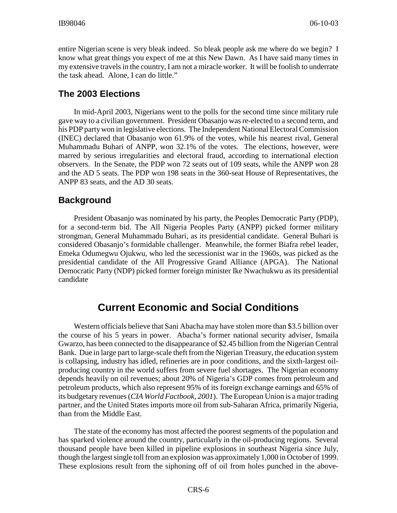entire Nigerian scene is very bleak indeed. So bleak people ask me where do we begin? I know what great things you expect of me at this New Dawn. As I have said many times in my extensive travels in the country, I am not a miracle worker. It will be foolish to underrate the task ahead. Alone, I can do little."

### **The 2003 Elections**

In mid-April 2003, Nigerians went to the polls for the second time since military rule gave way to a civilian government. President Obasanjo was re-elected to a second term, and his PDP party won in legislative elections. The Independent National Electoral Commission (INEC) declared that Obasanjo won 61.9% of the votes, while his nearest rival, General Muhammadu Buhari of ANPP, won 32.1% of the votes. The elections, however, were marred by serious irregularities and electoral fraud, according to international election observers. In the Senate, the PDP won 72 seats out of 109 seats, while the ANPP won 28 and the AD 5 seats. The PDP won 198 seats in the 360-seat House of Representatives, the ANPP 83 seats, and the AD 30 seats.

### **Background**

President Obasanjo was nominated by his party, the Peoples Democratic Party (PDP), for a second-term bid. The All Nigeria Peoples Party (ANPP) picked former military strongman, General Muhammadu Buhari, as its presidential candidate. General Buhari is considered Obasanjo's formidable challenger. Meanwhile, the former Biafra rebel leader, Emeka Odumegwu Ojukwu, who led the secessionist war in the 1960s, was picked as the presidential candidate of the All Progressive Grand Alliance (APGA). The National Democratic Party (NDP) picked former foreign minister Ike Nwachukwu as its presidential candidate

# **Current Economic and Social Conditions**

Western officials believe that Sani Abacha may have stolen more than \$3.5 billion over the course of his 5 years in power. Abacha's former national security adviser, Ismaila Gwarzo, has been connected to the disappearance of \$2.45 billion from the Nigerian Central Bank. Due in large part to large-scale theft from the Nigerian Treasury, the education system is collapsing, industry has idled, refineries are in poor conditions, and the sixth-largest oilproducing country in the world suffers from severe fuel shortages. The Nigerian economy depends heavily on oil revenues; about 20% of Nigeria's GDP comes from petroleum and petroleum products, which also represent 95% of its foreign exchange earnings and 65% of its budgetary revenues (*CIA World Factbook, 2001*). The European Union is a major trading partner, and the United States imports more oil from sub-Saharan Africa, primarily Nigeria, than from the Middle East.

The state of the economy has most affected the poorest segments of the population and has sparked violence around the country, particularly in the oil-producing regions. Several thousand people have been killed in pipeline explosions in southeast Nigeria since July, though the largest single toll from an explosion was approximately 1,000 in October of 1999. These explosions result from the siphoning off of oil from holes punched in the above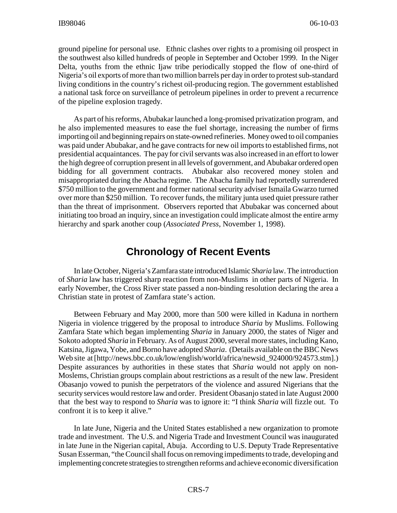ground pipeline for personal use. Ethnic clashes over rights to a promising oil prospect in the southwest also killed hundreds of people in September and October 1999. In the Niger Delta, youths from the ethnic Ijaw tribe periodically stopped the flow of one-third of Nigeria's oil exports of more than two million barrels per day in order to protest sub-standard living conditions in the country's richest oil-producing region. The government established a national task force on surveillance of petroleum pipelines in order to prevent a recurrence of the pipeline explosion tragedy.

As part of his reforms, Abubakar launched a long-promised privatization program, and he also implemented measures to ease the fuel shortage, increasing the number of firms importing oil and beginning repairs on state-owned refineries. Moneyowed to oil companies was paid under Abubakar, and he gave contracts for new oil imports to established firms, not presidential acquaintances. The pay for civil servants was also increased in an effort to lower the high degree of corruption present in all levels of government, and Abubakar ordered open bidding for all government contracts. Abubakar also recovered money stolen and misappropriated during the Abacha regime. The Abacha family had reportedly surrendered \$750 million to the government and former national security adviser Ismaila Gwarzo turned over more than \$250 million. To recover funds, the military junta used quiet pressure rather than the threat of imprisonment. Observers reported that Abubakar was concerned about initiating too broad an inquiry, since an investigation could implicate almost the entire army hierarchy and spark another coup (*Associated Press*, November 1, 1998).

# **Chronology of Recent Events**

In late October, Nigeria's Zamfara state introduced Islamic *Sharia* law. The introduction of *Sharia* law has triggered sharp reaction from non-Muslims in other parts of Nigeria. In early November, the Cross River state passed a non-binding resolution declaring the area a Christian state in protest of Zamfara state's action.

Between February and May 2000, more than 500 were killed in Kaduna in northern Nigeria in violence triggered by the proposal to introduce *Sharia* by Muslims. Following Zamfara State which began implementing *Sharia* in January 2000, the states of Niger and Sokoto adopted *Sharia* in February. As of August 2000, several more states, including Kano, Katsina, Jigawa, Yobe, and Borno have adopted *Sharia*. (Details available on the BBC News Web site at [http://news.bbc.co.uk/low/english/world/africa/newsid\_924000/924573.stm].) Despite assurances by authorities in these states that *Sharia* would not apply on non-Moslems, Christian groups complain about restrictions as a result of the new law. President Obasanjo vowed to punish the perpetrators of the violence and assured Nigerians that the security services would restore law and order. President Obasanjo stated in late August 2000 that the best way to respond to *Sharia* was to ignore it: "I think *Sharia* will fizzle out. To confront it is to keep it alive."

In late June, Nigeria and the United States established a new organization to promote trade and investment. The U.S. and Nigeria Trade and Investment Council was inaugurated in late June in the Nigerian capital, Abuja. According to U.S. Deputy Trade Representative Susan Esserman, "the Council shall focus on removing impediments to trade, developing and implementing concrete strategies to strengthen reforms and achieve economic diversification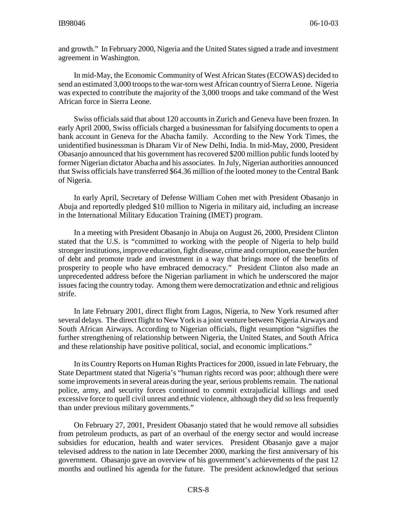and growth." In February 2000, Nigeria and the United States signed a trade and investment agreement in Washington.

In mid-May, the Economic Community of West African States (ECOWAS) decided to send an estimated 3,000 troops to the war-torn west African country of Sierra Leone. Nigeria was expected to contribute the majority of the 3,000 troops and take command of the West African force in Sierra Leone.

Swiss officials said that about 120 accounts in Zurich and Geneva have been frozen. In early April 2000, Swiss officials charged a businessman for falsifying documents to open a bank account in Geneva for the Abacha family. According to the New York Times, the unidentified businessman is Dharam Vir of New Delhi, India. In mid-May, 2000, President Obasanjo announced that his government has recovered \$200 million public funds looted by former Nigerian dictator Abacha and his associates. In July, Nigerian authorities announced that Swiss officials have transferred \$64.36 million of the looted money to the Central Bank of Nigeria.

In early April, Secretary of Defense William Cohen met with President Obasanjo in Abuja and reportedly pledged \$10 million to Nigeria in military aid, including an increase in the International Military Education Training (IMET) program.

In a meeting with President Obasanjo in Abuja on August 26, 2000, President Clinton stated that the U.S. is "committed to working with the people of Nigeria to help build stronger institutions, improve education, fight disease, crime and corruption, ease the burden of debt and promote trade and investment in a way that brings more of the benefits of prosperity to people who have embraced democracy." President Clinton also made an unprecedented address before the Nigerian parliament in which he underscored the major issues facing the country today. Among them were democratization and ethnic and religious strife.

In late February 2001, direct flight from Lagos, Nigeria, to New York resumed after several delays. The direct flight to New York is a joint venture between Nigeria Airways and South African Airways. According to Nigerian officials, flight resumption "signifies the further strengthening of relationship between Nigeria, the United States, and South Africa and these relationship have positive political, social, and economic implications."

In its Country Reports on Human Rights Practices for 2000, issued in late February, the State Department stated that Nigeria's "human rights record was poor; although there were some improvements in several areas during the year, serious problems remain. The national police, army, and security forces continued to commit extrajudicial killings and used excessive force to quell civil unrest and ethnic violence, although they did so less frequently than under previous military governments."

On February 27, 2001, President Obasanjo stated that he would remove all subsidies from petroleum products, as part of an overhaul of the energy sector and would increase subsidies for education, health and water services. President Obasanjo gave a major televised address to the nation in late December 2000, marking the first anniversary of his government. Obasanjo gave an overview of his government's achievements of the past 12 months and outlined his agenda for the future. The president acknowledged that serious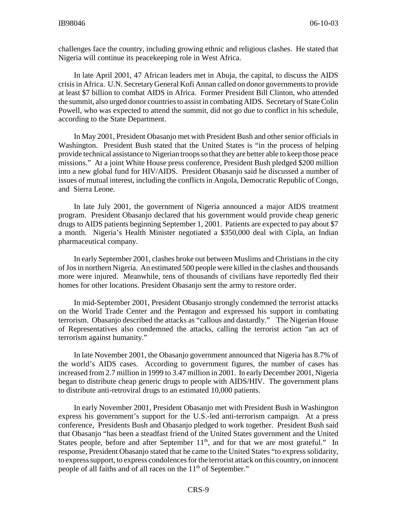challenges face the country, including growing ethnic and religious clashes. He stated that Nigeria will continue its peacekeeping role in West Africa.

In late April 2001, 47 African leaders met in Abuja, the capital, to discuss the AIDS crisis in Africa. U.N. Secretary General Kofi Annan called on donor governments to provide at least \$7 billion to combat AIDS in Africa. Former President Bill Clinton, who attended the summit, also urged donor countries to assist in combating AIDS. Secretary of State Colin Powell, who was expected to attend the summit, did not go due to conflict in his schedule, according to the State Department.

In May 2001, President Obasanjo met with President Bush and other senior officials in Washington. President Bush stated that the United States is "in the process of helping provide technical assistance to Nigerian troops so that theyare better able to keep those peace missions." At a joint White House press conference, President Bush pledged \$200 million into a new global fund for HIV/AIDS. President Obasanjo said he discussed a number of issues of mutual interest, including the conflicts in Angola, Democratic Republic of Congo, and Sierra Leone.

In late July 2001, the government of Nigeria announced a major AIDS treatment program. President Obasanjo declared that his government would provide cheap generic drugs to AIDS patients beginning September 1, 2001. Patients are expected to pay about \$7 a month. Nigeria's Health Minister negotiated a \$350,000 deal with Cipla, an Indian pharmaceutical company.

In early September 2001, clashes broke out between Muslims and Christians in the city of Jos in northern Nigeria. An estimated 500 people were killed in the clashes and thousands more were injured. Meanwhile, tens of thousands of civilians have reportedly fled their homes for other locations. President Obasanjo sent the army to restore order.

In mid-September 2001, President Obasanjo strongly condemned the terrorist attacks on the World Trade Center and the Pentagon and expressed his support in combating terrorism. Obasanjo described the attacks as "callous and dastardly." The Nigerian House of Representatives also condemned the attacks, calling the terrorist action "an act of terrorism against humanity."

In late November 2001, the Obasanjo government announced that Nigeria has 8.7% of the world's AIDS cases. According to government figures, the number of cases has increased from 2.7 million in 1999 to 3.47 million in 2001. In early December 2001, Nigeria began to distribute cheap generic drugs to people with AIDS/HIV. The government plans to distribute anti-retroviral drugs to an estimated 10,000 patients.

In early November 2001, President Obasanjo met with President Bush in Washington express his government's support for the U.S.-led anti-terrorism campaign. At a press conference, Presidents Bush and Obasanjo pledged to work together. President Bush said that Obasanjo "has been a steadfast friend of the United States government and the United States people, before and after September  $11<sup>th</sup>$ , and for that we are most grateful." In response, President Obasanjo stated that he came to the United States "to express solidarity, to express support, to express condolences for the terrorist attack on this country, on innocent people of all faiths and of all races on the 11<sup>th</sup> of September."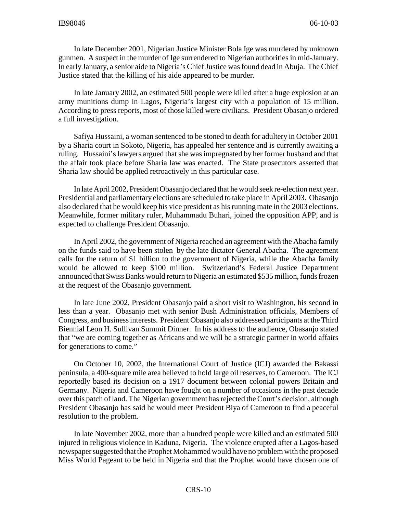In late December 2001, Nigerian Justice Minister Bola Ige was murdered by unknown gunmen. A suspect in the murder of Ige surrendered to Nigerian authorities in mid-January. In early January, a senior aide to Nigeria's Chief Justice was found dead in Abuja. The Chief Justice stated that the killing of his aide appeared to be murder.

In late January 2002, an estimated 500 people were killed after a huge explosion at an army munitions dump in Lagos, Nigeria's largest city with a population of 15 million. According to press reports, most of those killed were civilians. President Obasanjo ordered a full investigation.

Safiya Hussaini, a woman sentenced to be stoned to death for adultery in October 2001 by a Sharia court in Sokoto, Nigeria, has appealed her sentence and is currently awaiting a ruling. Hussaini's lawyers argued that she was impregnated by her former husband and that the affair took place before Sharia law was enacted. The State prosecutors asserted that Sharia law should be applied retroactively in this particular case.

In late April 2002, President Obasanjo declared that he would seek re-election next year. Presidential and parliamentary elections are scheduled to take place in April 2003. Obasanjo also declared that he would keep his vice president as his running mate in the 2003 elections. Meanwhile, former military ruler, Muhammadu Buhari, joined the opposition APP, and is expected to challenge President Obasanjo.

In April 2002, the government of Nigeria reached an agreement with the Abacha family on the funds said to have been stolen by the late dictator General Abacha. The agreement calls for the return of \$1 billion to the government of Nigeria, while the Abacha family would be allowed to keep \$100 million. Switzerland's Federal Justice Department announced that Swiss Banks would return to Nigeria an estimated \$535 million, funds frozen at the request of the Obasanjo government.

In late June 2002, President Obasanjo paid a short visit to Washington, his second in less than a year. Obasanjo met with senior Bush Administration officials, Members of Congress, and business interests. President Obasanjo also addressed participants at the Third Biennial Leon H. Sullivan Summit Dinner. In his address to the audience, Obasanjo stated that "we are coming together as Africans and we will be a strategic partner in world affairs for generations to come."

On October 10, 2002, the International Court of Justice (ICJ) awarded the Bakassi peninsula, a 400-square mile area believed to hold large oil reserves, to Cameroon. The ICJ reportedly based its decision on a 1917 document between colonial powers Britain and Germany. Nigeria and Cameroon have fought on a number of occasions in the past decade over this patch of land. The Nigerian government has rejected the Court's decision, although President Obasanjo has said he would meet President Biya of Cameroon to find a peaceful resolution to the problem.

In late November 2002, more than a hundred people were killed and an estimated 500 injured in religious violence in Kaduna, Nigeria. The violence erupted after a Lagos-based newspaper suggested that the Prophet Mohammed would have no problem with the proposed Miss World Pageant to be held in Nigeria and that the Prophet would have chosen one of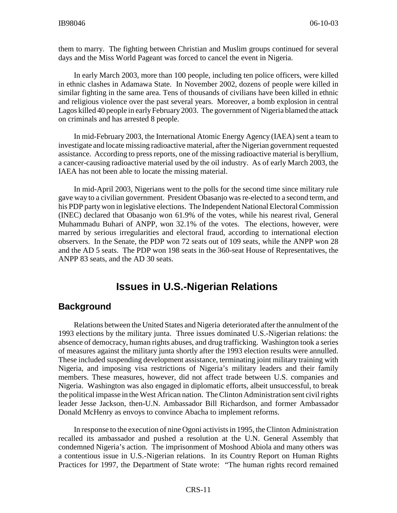them to marry. The fighting between Christian and Muslim groups continued for several days and the Miss World Pageant was forced to cancel the event in Nigeria.

In early March 2003, more than 100 people, including ten police officers, were killed in ethnic clashes in Adamawa State. In November 2002, dozens of people were killed in similar fighting in the same area. Tens of thousands of civilians have been killed in ethnic and religious violence over the past several years. Moreover, a bomb explosion in central Lagos killed 40 people in early February 2003. The government of Nigeria blamed the attack on criminals and has arrested 8 people.

In mid-February 2003, the International Atomic Energy Agency (IAEA) sent a team to investigate and locate missing radioactive material, after the Nigerian government requested assistance. According to press reports, one of the missing radioactive material is beryllium, a cancer-causing radioactive material used by the oil industry. As of early March 2003, the IAEA has not been able to locate the missing material.

In mid-April 2003, Nigerians went to the polls for the second time since military rule gave way to a civilian government. President Obasanjo was re-elected to a second term, and his PDP party won in legislative elections. The Independent National Electoral Commission (INEC) declared that Obasanjo won 61.9% of the votes, while his nearest rival, General Muhammadu Buhari of ANPP, won 32.1% of the votes. The elections, however, were marred by serious irregularities and electoral fraud, according to international election observers. In the Senate, the PDP won 72 seats out of 109 seats, while the ANPP won 28 and the AD 5 seats. The PDP won 198 seats in the 360-seat House of Representatives, the ANPP 83 seats, and the AD 30 seats.

### **Issues in U.S.-Nigerian Relations**

### **Background**

Relations between the United States and Nigeria deteriorated after the annulment of the 1993 elections by the military junta. Three issues dominated U.S.-Nigerian relations: the absence of democracy, human rights abuses, and drug trafficking. Washington took a series of measures against the military junta shortly after the 1993 election results were annulled. These included suspending development assistance, terminating joint military training with Nigeria, and imposing visa restrictions of Nigeria's military leaders and their family members. These measures, however, did not affect trade between U.S. companies and Nigeria. Washington was also engaged in diplomatic efforts, albeit unsuccessful, to break the political impasse in the West African nation. The Clinton Administration sent civil rights leader Jesse Jackson, then-U.N. Ambassador Bill Richardson, and former Ambassador Donald McHenry as envoys to convince Abacha to implement reforms.

In response to the execution of nine Ogoni activists in 1995, the Clinton Administration recalled its ambassador and pushed a resolution at the U.N. General Assembly that condemned Nigeria's action. The imprisonment of Moshood Abiola and many others was a contentious issue in U.S.-Nigerian relations. In its Country Report on Human Rights Practices for 1997, the Department of State wrote: "The human rights record remained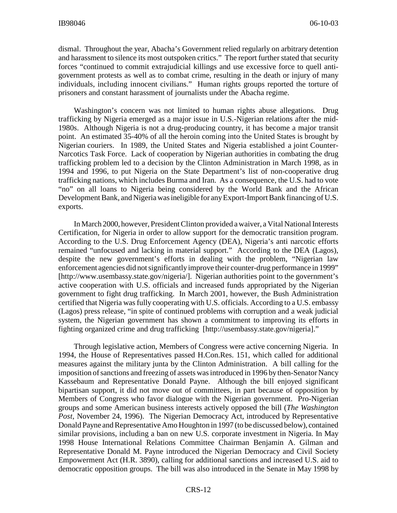dismal. Throughout the year, Abacha's Government relied regularly on arbitrary detention and harassment to silence its most outspoken critics." The report further stated that security forces "continued to commit extrajudicial killings and use excessive force to quell antigovernment protests as well as to combat crime, resulting in the death or injury of many individuals, including innocent civilians." Human rights groups reported the torture of prisoners and constant harassment of journalists under the Abacha regime.

Washington's concern was not limited to human rights abuse allegations. Drug trafficking by Nigeria emerged as a major issue in U.S.-Nigerian relations after the mid-1980s. Although Nigeria is not a drug-producing country, it has become a major transit point. An estimated 35-40% of all the heroin coming into the United States is brought by Nigerian couriers. In 1989, the United States and Nigeria established a joint Counter-Narcotics Task Force. Lack of cooperation by Nigerian authorities in combating the drug trafficking problem led to a decision by the Clinton Administration in March 1998, as in 1994 and 1996, to put Nigeria on the State Department's list of non-cooperative drug trafficking nations, which includes Burma and Iran. As a consequence, the U.S. had to vote "no" on all loans to Nigeria being considered by the World Bank and the African Development Bank, and Nigeria was ineligible for any Export-Import Bank financing of U.S. exports.

In March 2000, however, President Clinton provided a waiver, a Vital National Interests Certification, for Nigeria in order to allow support for the democratic transition program. According to the U.S. Drug Enforcement Agency (DEA), Nigeria's anti narcotic efforts remained "unfocused and lacking in material support." According to the DEA (Lagos), despite the new government's efforts in dealing with the problem, "Nigerian law enforcement agencies did not significantlyimprove their counter-drug performance in 1999" [http://www.usembassy.state.gov/nigeria/]. Nigerian authorities point to the government's active cooperation with U.S. officials and increased funds appropriated by the Nigerian government to fight drug trafficking. In March 2001, however, the Bush Administration certified that Nigeria was fully cooperating with U.S. officials. According to a U.S. embassy (Lagos) press release, "in spite of continued problems with corruption and a weak judicial system, the Nigerian government has shown a commitment to improving its efforts in fighting organized crime and drug trafficking [http://usembassy.state.gov/nigeria]."

Through legislative action, Members of Congress were active concerning Nigeria. In 1994, the House of Representatives passed H.Con.Res. 151, which called for additional measures against the military junta by the Clinton Administration. A bill calling for the imposition of sanctions and freezing of assets was introduced in 1996 by then-Senator Nancy Kassebaum and Representative Donald Payne. Although the bill enjoyed significant bipartisan support, it did not move out of committees, in part because of opposition by Members of Congress who favor dialogue with the Nigerian government. Pro-Nigerian groups and some American business interests actively opposed the bill (*The Washington Post*, November 24, 1996). The Nigerian Democracy Act, introduced by Representative Donald Payne and Representative Amo Houghton in 1997 (to be discussed below), contained similar provisions, including a ban on new U.S. corporate investment in Nigeria. In May 1998 House International Relations Committee Chairman Benjamin A. Gilman and Representative Donald M. Payne introduced the Nigerian Democracy and Civil Society Empowerment Act (H.R. 3890), calling for additional sanctions and increased U.S. aid to democratic opposition groups. The bill was also introduced in the Senate in May 1998 by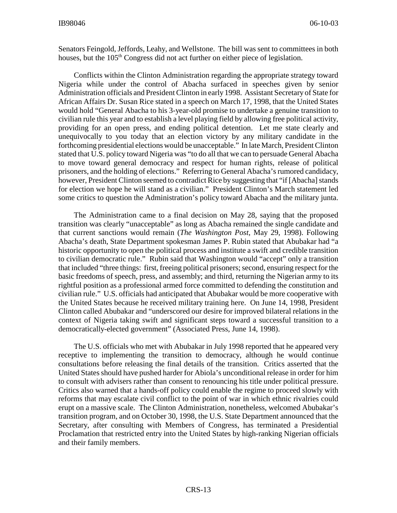Senators Feingold, Jeffords, Leahy, and Wellstone. The bill was sent to committees in both houses, but the 105<sup>th</sup> Congress did not act further on either piece of legislation.

Conflicts within the Clinton Administration regarding the appropriate strategy toward Nigeria while under the control of Abacha surfaced in speeches given by senior Administration officials and President Clinton in early 1998. Assistant Secretary of State for African Affairs Dr. Susan Rice stated in a speech on March 17, 1998, that the United States would hold "General Abacha to his 3-year-old promise to undertake a genuine transition to civilian rule this year and to establish a level playing field by allowing free political activity, providing for an open press, and ending political detention. Let me state clearly and unequivocally to you today that an election victory by any military candidate in the forthcoming presidential elections would be unacceptable." In late March, President Clinton stated that U.S. policy toward Nigeria was "to do all that we can to persuade General Abacha to move toward general democracy and respect for human rights, release of political prisoners, and the holding of elections." Referring to General Abacha's rumored candidacy, however, President Clinton seemed to contradict Rice by suggesting that "if [Abacha] stands for election we hope he will stand as a civilian." President Clinton's March statement led some critics to question the Administration's policy toward Abacha and the military junta.

The Administration came to a final decision on May 28, saying that the proposed transition was clearly "unacceptable" as long as Abacha remained the single candidate and that current sanctions would remain (*The Washington Post*, May 29, 1998). Following Abacha's death, State Department spokesman James P. Rubin stated that Abubakar had "a historic opportunity to open the political process and institute a swift and credible transition to civilian democratic rule." Rubin said that Washington would "accept" only a transition that included "three things: first, freeing political prisoners; second, ensuring respect for the basic freedoms of speech, press, and assembly; and third, returning the Nigerian army to its rightful position as a professional armed force committed to defending the constitution and civilian rule." U.S. officials had anticipated that Abubakar would be more cooperative with the United States because he received military training here. On June 14, 1998, President Clinton called Abubakar and "underscored our desire for improved bilateral relations in the context of Nigeria taking swift and significant steps toward a successful transition to a democratically-elected government" (Associated Press, June 14, 1998).

The U.S. officials who met with Abubakar in July 1998 reported that he appeared very receptive to implementing the transition to democracy, although he would continue consultations before releasing the final details of the transition. Critics asserted that the United States should have pushed harder for Abiola's unconditional release in order for him to consult with advisers rather than consent to renouncing his title under political pressure. Critics also warned that a hands-off policy could enable the regime to proceed slowly with reforms that may escalate civil conflict to the point of war in which ethnic rivalries could erupt on a massive scale. The Clinton Administration, nonetheless, welcomed Abubakar's transition program, and on October 30, 1998, the U.S. State Department announced that the Secretary, after consulting with Members of Congress, has terminated a Presidential Proclamation that restricted entry into the United States by high-ranking Nigerian officials and their family members.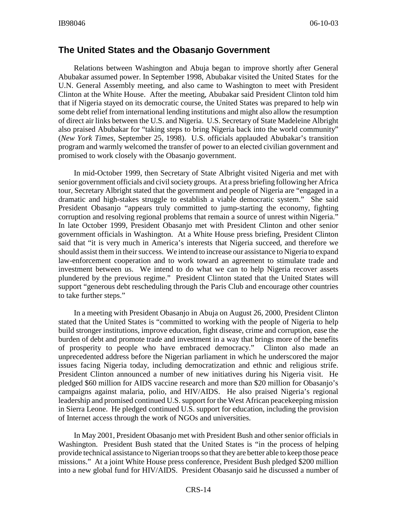### **The United States and the Obasanjo Government**

Relations between Washington and Abuja began to improve shortly after General Abubakar assumed power. In September 1998, Abubakar visited the United States for the U.N. General Assembly meeting, and also came to Washington to meet with President Clinton at the White House. After the meeting, Abubakar said President Clinton told him that if Nigeria stayed on its democratic course, the United States was prepared to help win some debt relief from international lending institutions and might also allow the resumption of direct air links between the U.S. and Nigeria. U.S. Secretary of State Madeleine Albright also praised Abubakar for "taking steps to bring Nigeria back into the world community" (*New York Times*, September 25, 1998). U.S. officials applauded Abubakar's transition program and warmly welcomed the transfer of power to an elected civilian government and promised to work closely with the Obasanjo government.

In mid-October 1999, then Secretary of State Albright visited Nigeria and met with senior government officials and civil society groups. At a press briefing following her Africa tour, Secretary Albright stated that the government and people of Nigeria are "engaged in a dramatic and high-stakes struggle to establish a viable democratic system." She said President Obasanjo "appears truly committed to jump-starting the economy, fighting corruption and resolving regional problems that remain a source of unrest within Nigeria." In late October 1999, President Obasanjo met with President Clinton and other senior government officials in Washington. At a White House press briefing, President Clinton said that "it is very much in America's interests that Nigeria succeed, and therefore we should assist them in their success. We intend to increase our assistance to Nigeria to expand law-enforcement cooperation and to work toward an agreement to stimulate trade and investment between us. We intend to do what we can to help Nigeria recover assets plundered by the previous regime." President Clinton stated that the United States will support "generous debt rescheduling through the Paris Club and encourage other countries to take further steps."

In a meeting with President Obasanjo in Abuja on August 26, 2000, President Clinton stated that the United States is "committed to working with the people of Nigeria to help build stronger institutions, improve education, fight disease, crime and corruption, ease the burden of debt and promote trade and investment in a way that brings more of the benefits of prosperity to people who have embraced democracy." Clinton also made an unprecedented address before the Nigerian parliament in which he underscored the major issues facing Nigeria today, including democratization and ethnic and religious strife. President Clinton announced a number of new initiatives during his Nigeria visit. He pledged \$60 million for AIDS vaccine research and more than \$20 million for Obasanjo's campaigns against malaria, polio, and HIV/AIDS. He also praised Nigeria's regional leadership and promised continued U.S. support for the West African peacekeeping mission in Sierra Leone. He pledged continued U.S. support for education, including the provision of Internet access through the work of NGOs and universities.

In May 2001, President Obasanjo met with President Bush and other senior officials in Washington. President Bush stated that the United States is "in the process of helping provide technical assistance to Nigerian troops so that they are better able to keep those peace missions." At a joint White House press conference, President Bush pledged \$200 million into a new global fund for HIV/AIDS. President Obasanjo said he discussed a number of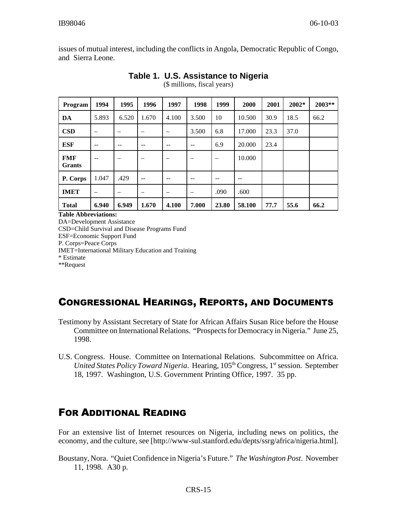issues of mutual interest, including the conflicts in Angola, Democratic Republic of Congo, and Sierra Leone.

| Program                     | 1994                     | 1995                     | 1996  | 1997            | 1998              | 1999  | 2000   | 2001 | 2002* | $2003**$ |
|-----------------------------|--------------------------|--------------------------|-------|-----------------|-------------------|-------|--------|------|-------|----------|
| DA                          | 5.893                    | 6.520                    | 1.670 | 4.100           | 3.500             | 10    | 10.500 | 30.9 | 18.5  | 66.2     |
| <b>CSD</b>                  | $\overline{\phantom{m}}$ | $\qquad \qquad$          | -     | $\qquad \qquad$ | 3.500             | 6.8   | 17.000 | 23.3 | 37.0  |          |
| <b>ESF</b>                  | $\qquad \qquad -$        | --                       | $- -$ | $- -$           | $\qquad \qquad -$ | 6.9   | 20,000 | 23.4 |       |          |
| <b>FMF</b><br><b>Grants</b> | $- -$                    | $\overline{\phantom{0}}$ | -     |                 |                   | -     | 10.000 |      |       |          |
| P. Corps                    | 1.047                    | .429                     | $- -$ | $- -$           | $-$               | $- -$ | $- -$  |      |       |          |
| <b>IMET</b>                 | -                        | $\qquad \qquad$          | -     |                 |                   | .090  | .600   |      |       |          |
| <b>Total</b>                | 6.940                    | 6.949                    | 1.670 | 4.100           | 7.000             | 23.80 | 58.100 | 77.7 | 55.6  | 66.2     |

**Table 1. U.S. Assistance to Nigeria** (\$ millions, fiscal years)

**Table Abbreviations:**

DA=Development Assistance

CSD=Child Survival and Disease Programs Fund

ESF=Economic Support Fund

P. Corps=Peace Corps

IMET=International Military Education and Training

\* Estimate

\*\*Request

# CONGRESSIONAL HEARINGS, REPORTS, AND DOCUMENTS

- Testimony by Assistant Secretary of State for African Affairs Susan Rice before the House Committee on International Relations. "Prospects for Democracy in Nigeria." June 25, 1998.
- U.S. Congress. House. Committee on International Relations. Subcommittee on Africa. *United States Policy Toward Nigeria.* Hearing, 105<sup>th</sup> Congress, 1<sup>st</sup> session. September 18, 1997. Washington, U.S. Government Printing Office, 1997. 35 pp.

# FOR ADDITIONAL READING

For an extensive list of Internet resources on Nigeria, including news on politics, the economy, and the culture, see [http://www-sul.stanford.edu/depts/ssrg/africa/nigeria.html].

Boustany, Nora. "Quiet Confidence in Nigeria's Future." *The Washington Post*. November 11, 1998. A30 p.